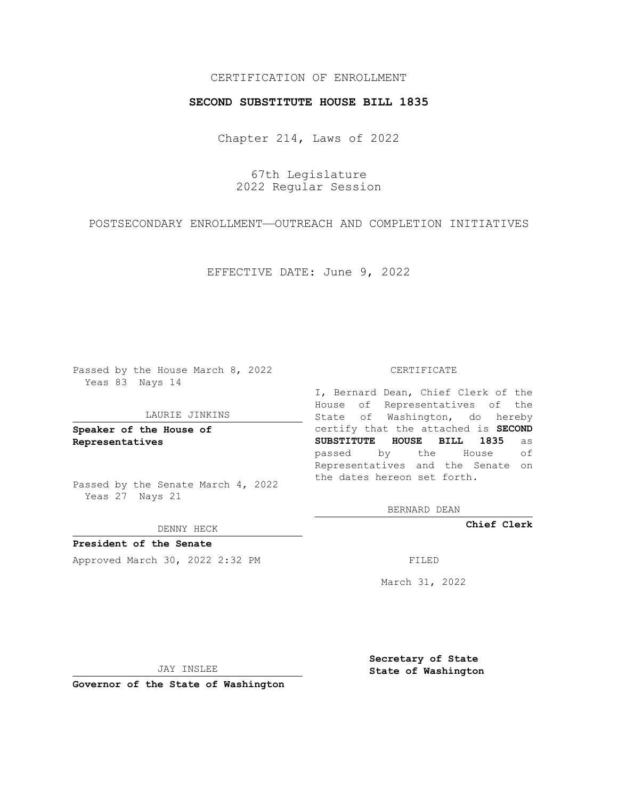## CERTIFICATION OF ENROLLMENT

### **SECOND SUBSTITUTE HOUSE BILL 1835**

Chapter 214, Laws of 2022

67th Legislature 2022 Regular Session

POSTSECONDARY ENROLLMENT—OUTREACH AND COMPLETION INITIATIVES

EFFECTIVE DATE: June 9, 2022

Passed by the House March 8, 2022 Yeas 83 Nays 14

#### LAURIE JINKINS

**Speaker of the House of Representatives**

Passed by the Senate March 4, 2022 Yeas 27 Nays 21

DENNY HECK

**President of the Senate** Approved March 30, 2022 2:32 PM

CERTIFICATE

I, Bernard Dean, Chief Clerk of the House of Representatives of the State of Washington, do hereby certify that the attached is **SECOND SUBSTITUTE HOUSE BILL 1835** as passed by the House of Representatives and the Senate on the dates hereon set forth.

BERNARD DEAN

**Chief Clerk**

March 31, 2022

JAY INSLEE

**Governor of the State of Washington**

**Secretary of State State of Washington**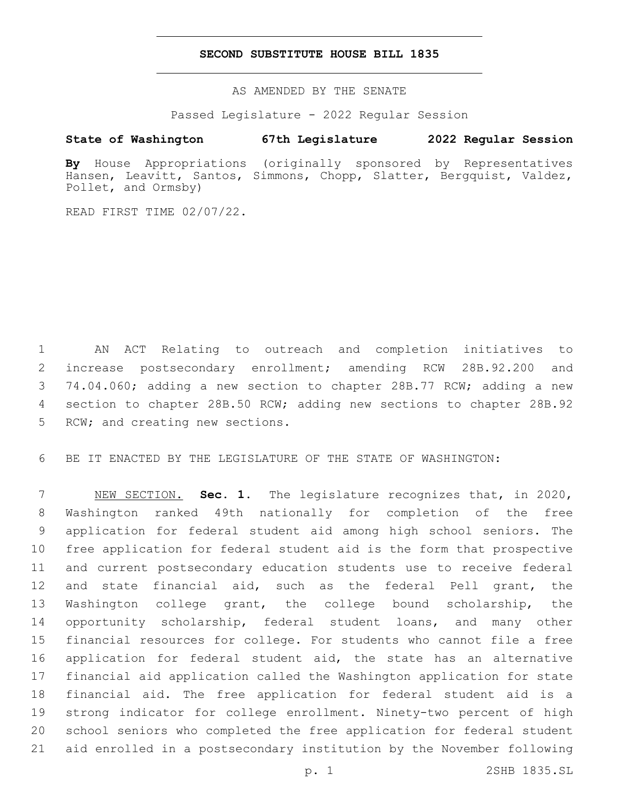## **SECOND SUBSTITUTE HOUSE BILL 1835**

AS AMENDED BY THE SENATE

Passed Legislature - 2022 Regular Session

# **State of Washington 67th Legislature 2022 Regular Session**

**By** House Appropriations (originally sponsored by Representatives Hansen, Leavitt, Santos, Simmons, Chopp, Slatter, Bergquist, Valdez, Pollet, and Ormsby)

READ FIRST TIME 02/07/22.

 AN ACT Relating to outreach and completion initiatives to increase postsecondary enrollment; amending RCW 28B.92.200 and 74.04.060; adding a new section to chapter 28B.77 RCW; adding a new section to chapter 28B.50 RCW; adding new sections to chapter 28B.92 5 RCW; and creating new sections.

BE IT ENACTED BY THE LEGISLATURE OF THE STATE OF WASHINGTON:

 NEW SECTION. **Sec. 1.** The legislature recognizes that, in 2020, Washington ranked 49th nationally for completion of the free application for federal student aid among high school seniors. The free application for federal student aid is the form that prospective and current postsecondary education students use to receive federal and state financial aid, such as the federal Pell grant, the Washington college grant, the college bound scholarship, the 14 opportunity scholarship, federal student loans, and many other financial resources for college. For students who cannot file a free application for federal student aid, the state has an alternative financial aid application called the Washington application for state financial aid. The free application for federal student aid is a strong indicator for college enrollment. Ninety-two percent of high school seniors who completed the free application for federal student aid enrolled in a postsecondary institution by the November following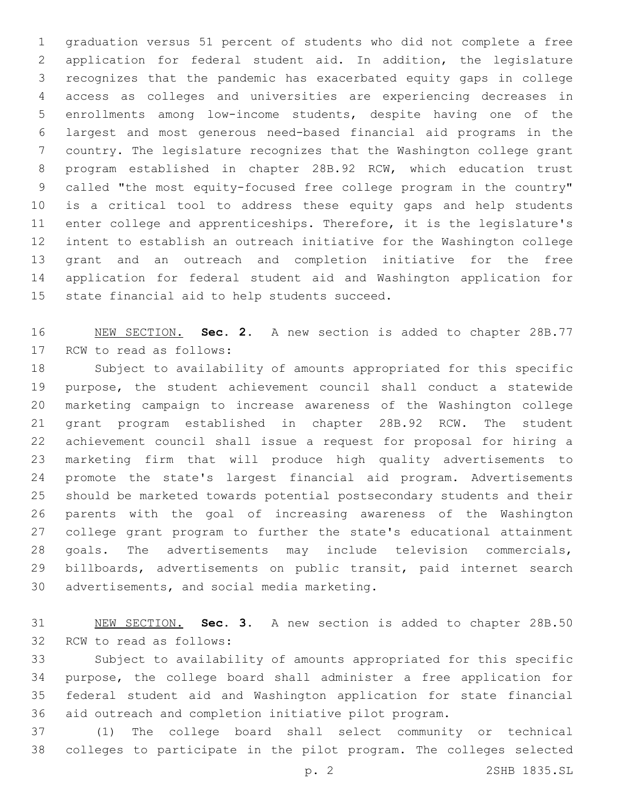graduation versus 51 percent of students who did not complete a free application for federal student aid. In addition, the legislature recognizes that the pandemic has exacerbated equity gaps in college access as colleges and universities are experiencing decreases in enrollments among low-income students, despite having one of the largest and most generous need-based financial aid programs in the country. The legislature recognizes that the Washington college grant program established in chapter 28B.92 RCW, which education trust called "the most equity-focused free college program in the country" is a critical tool to address these equity gaps and help students enter college and apprenticeships. Therefore, it is the legislature's intent to establish an outreach initiative for the Washington college grant and an outreach and completion initiative for the free application for federal student aid and Washington application for 15 state financial aid to help students succeed.

 NEW SECTION. **Sec. 2.** A new section is added to chapter 28B.77 17 RCW to read as follows:

 Subject to availability of amounts appropriated for this specific purpose, the student achievement council shall conduct a statewide marketing campaign to increase awareness of the Washington college grant program established in chapter 28B.92 RCW. The student achievement council shall issue a request for proposal for hiring a marketing firm that will produce high quality advertisements to promote the state's largest financial aid program. Advertisements should be marketed towards potential postsecondary students and their parents with the goal of increasing awareness of the Washington college grant program to further the state's educational attainment goals. The advertisements may include television commercials, billboards, advertisements on public transit, paid internet search 30 advertisements, and social media marketing.

 NEW SECTION. **Sec. 3.** A new section is added to chapter 28B.50 32 RCW to read as follows:

 Subject to availability of amounts appropriated for this specific purpose, the college board shall administer a free application for federal student aid and Washington application for state financial aid outreach and completion initiative pilot program.

 (1) The college board shall select community or technical colleges to participate in the pilot program. The colleges selected

p. 2 2SHB 1835.SL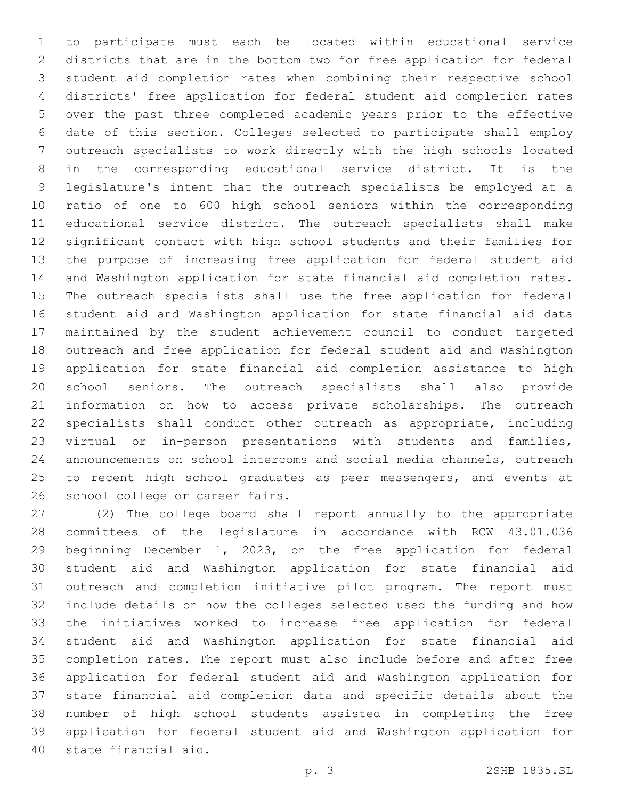to participate must each be located within educational service districts that are in the bottom two for free application for federal student aid completion rates when combining their respective school districts' free application for federal student aid completion rates over the past three completed academic years prior to the effective date of this section. Colleges selected to participate shall employ outreach specialists to work directly with the high schools located in the corresponding educational service district. It is the legislature's intent that the outreach specialists be employed at a ratio of one to 600 high school seniors within the corresponding educational service district. The outreach specialists shall make significant contact with high school students and their families for the purpose of increasing free application for federal student aid and Washington application for state financial aid completion rates. The outreach specialists shall use the free application for federal student aid and Washington application for state financial aid data maintained by the student achievement council to conduct targeted outreach and free application for federal student aid and Washington application for state financial aid completion assistance to high school seniors. The outreach specialists shall also provide information on how to access private scholarships. The outreach specialists shall conduct other outreach as appropriate, including virtual or in-person presentations with students and families, announcements on school intercoms and social media channels, outreach 25 to recent high school graduates as peer messengers, and events at 26 school college or career fairs.

 (2) The college board shall report annually to the appropriate committees of the legislature in accordance with RCW 43.01.036 beginning December 1, 2023, on the free application for federal student aid and Washington application for state financial aid outreach and completion initiative pilot program. The report must include details on how the colleges selected used the funding and how the initiatives worked to increase free application for federal student aid and Washington application for state financial aid completion rates. The report must also include before and after free application for federal student aid and Washington application for state financial aid completion data and specific details about the number of high school students assisted in completing the free application for federal student aid and Washington application for 40 state financial aid.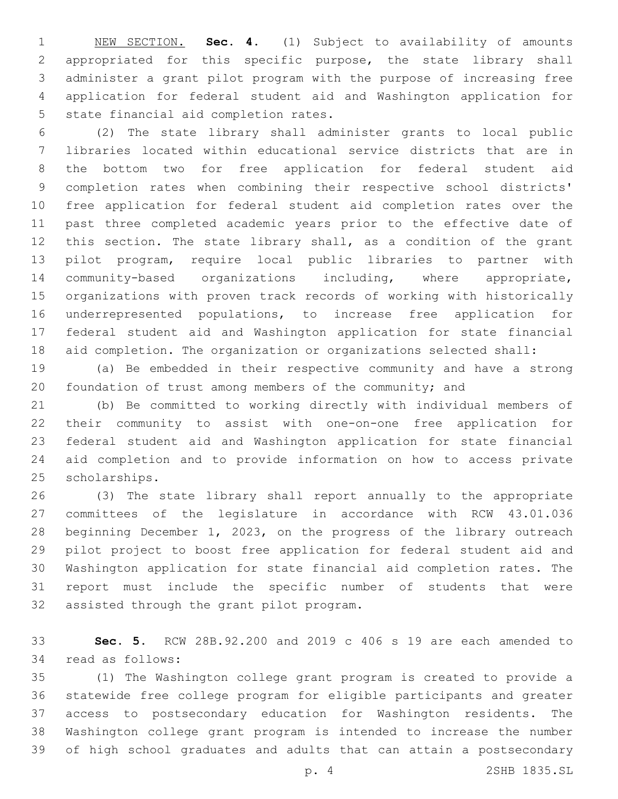NEW SECTION. **Sec. 4.** (1) Subject to availability of amounts appropriated for this specific purpose, the state library shall administer a grant pilot program with the purpose of increasing free application for federal student aid and Washington application for state financial aid completion rates.

 (2) The state library shall administer grants to local public libraries located within educational service districts that are in the bottom two for free application for federal student aid completion rates when combining their respective school districts' free application for federal student aid completion rates over the past three completed academic years prior to the effective date of this section. The state library shall, as a condition of the grant pilot program, require local public libraries to partner with community-based organizations including, where appropriate, organizations with proven track records of working with historically underrepresented populations, to increase free application for federal student aid and Washington application for state financial aid completion. The organization or organizations selected shall:

 (a) Be embedded in their respective community and have a strong foundation of trust among members of the community; and

 (b) Be committed to working directly with individual members of their community to assist with one-on-one free application for federal student aid and Washington application for state financial aid completion and to provide information on how to access private 25 scholarships.

 (3) The state library shall report annually to the appropriate committees of the legislature in accordance with RCW 43.01.036 beginning December 1, 2023, on the progress of the library outreach pilot project to boost free application for federal student aid and Washington application for state financial aid completion rates. The report must include the specific number of students that were 32 assisted through the grant pilot program.

 **Sec. 5.** RCW 28B.92.200 and 2019 c 406 s 19 are each amended to 34 read as follows:

 (1) The Washington college grant program is created to provide a statewide free college program for eligible participants and greater access to postsecondary education for Washington residents. The Washington college grant program is intended to increase the number of high school graduates and adults that can attain a postsecondary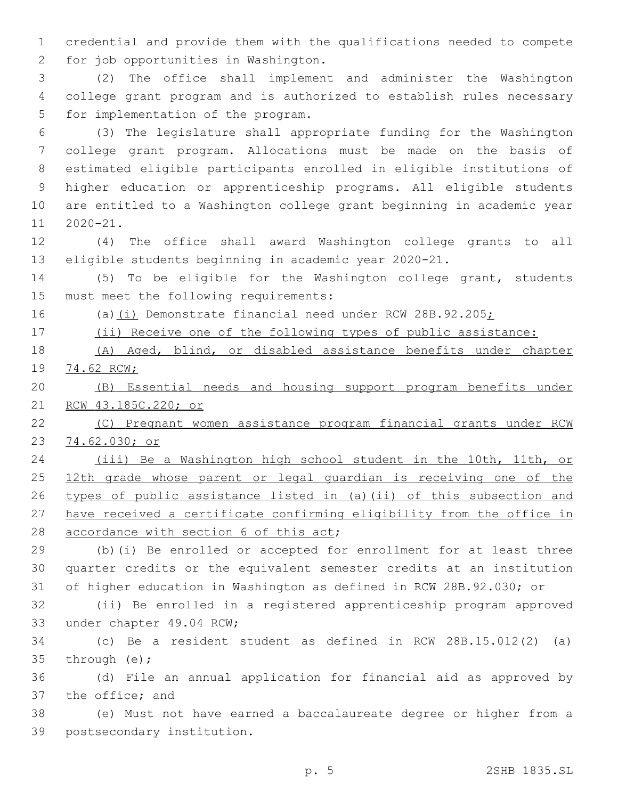credential and provide them with the qualifications needed to compete 2 for job opportunities in Washington.

 (2) The office shall implement and administer the Washington college grant program and is authorized to establish rules necessary 5 for implementation of the program.

 (3) The legislature shall appropriate funding for the Washington college grant program. Allocations must be made on the basis of estimated eligible participants enrolled in eligible institutions of higher education or apprenticeship programs. All eligible students are entitled to a Washington college grant beginning in academic year 11 2020-21.

 (4) The office shall award Washington college grants to all eligible students beginning in academic year 2020-21.

 (5) To be eligible for the Washington college grant, students 15 must meet the following requirements:

(a)(i) Demonstrate financial need under RCW 28B.92.205;

(ii) Receive one of the following types of public assistance:

 (A) Aged, blind, or disabled assistance benefits under chapter 74.62 RCW;

 (B) Essential needs and housing support program benefits under RCW 43.185C.220; or

 (C) Pregnant women assistance program financial grants under RCW 74.62.030; or

 (iii) Be a Washington high school student in the 10th, 11th, or 25 12th grade whose parent or legal guardian is receiving one of the types of public assistance listed in (a)(ii) of this subsection and have received a certificate confirming eligibility from the office in 28 accordance with section 6 of this act;

 (b)(i) Be enrolled or accepted for enrollment for at least three quarter credits or the equivalent semester credits at an institution of higher education in Washington as defined in RCW 28B.92.030; or

 (ii) Be enrolled in a registered apprenticeship program approved 33 under chapter 49.04 RCW;

 (c) Be a resident student as defined in RCW 28B.15.012(2) (a) 35 through  $(e)$ ;

 (d) File an annual application for financial aid as approved by 37 the office; and

 (e) Must not have earned a baccalaureate degree or higher from a 39 postsecondary institution.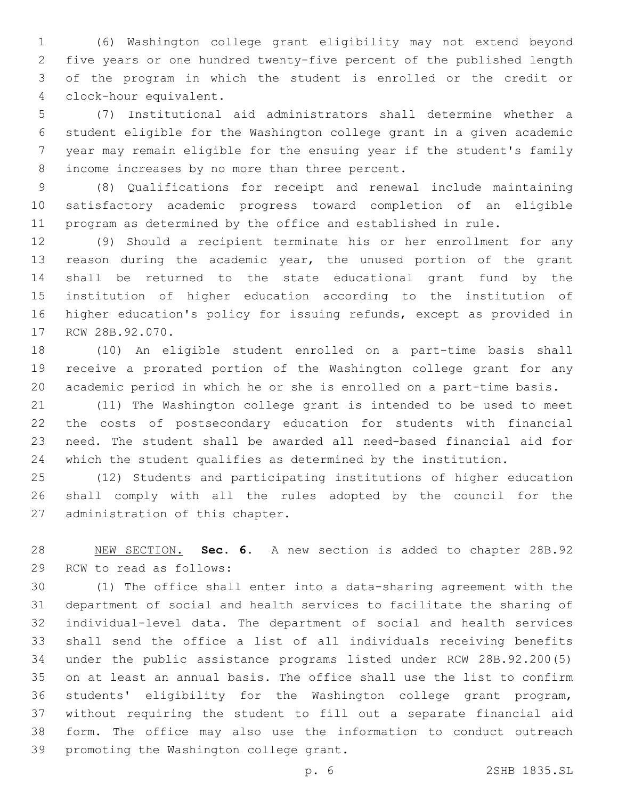(6) Washington college grant eligibility may not extend beyond five years or one hundred twenty-five percent of the published length of the program in which the student is enrolled or the credit or clock-hour equivalent.4

 (7) Institutional aid administrators shall determine whether a student eligible for the Washington college grant in a given academic year may remain eligible for the ensuing year if the student's family 8 income increases by no more than three percent.

 (8) Qualifications for receipt and renewal include maintaining satisfactory academic progress toward completion of an eligible program as determined by the office and established in rule.

 (9) Should a recipient terminate his or her enrollment for any reason during the academic year, the unused portion of the grant shall be returned to the state educational grant fund by the institution of higher education according to the institution of higher education's policy for issuing refunds, except as provided in 17 RCW 28B.92.070.

 (10) An eligible student enrolled on a part-time basis shall receive a prorated portion of the Washington college grant for any academic period in which he or she is enrolled on a part-time basis.

 (11) The Washington college grant is intended to be used to meet the costs of postsecondary education for students with financial need. The student shall be awarded all need-based financial aid for which the student qualifies as determined by the institution.

 (12) Students and participating institutions of higher education shall comply with all the rules adopted by the council for the 27 administration of this chapter.

 NEW SECTION. **Sec. 6.** A new section is added to chapter 28B.92 29 RCW to read as follows:

 (1) The office shall enter into a data-sharing agreement with the department of social and health services to facilitate the sharing of individual-level data. The department of social and health services shall send the office a list of all individuals receiving benefits under the public assistance programs listed under RCW 28B.92.200(5) on at least an annual basis. The office shall use the list to confirm students' eligibility for the Washington college grant program, without requiring the student to fill out a separate financial aid form. The office may also use the information to conduct outreach 39 promoting the Washington college grant.

p. 6 2SHB 1835.SL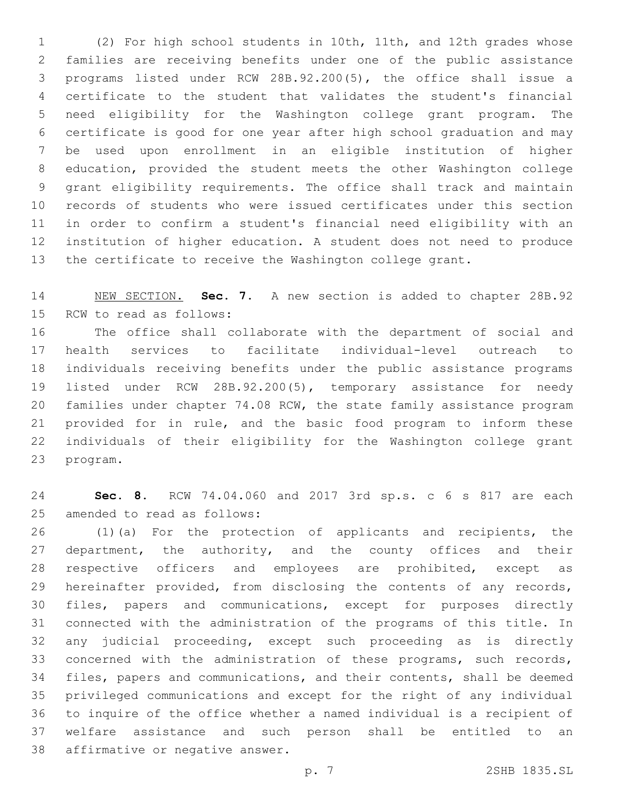(2) For high school students in 10th, 11th, and 12th grades whose families are receiving benefits under one of the public assistance programs listed under RCW 28B.92.200(5), the office shall issue a certificate to the student that validates the student's financial need eligibility for the Washington college grant program. The certificate is good for one year after high school graduation and may be used upon enrollment in an eligible institution of higher education, provided the student meets the other Washington college grant eligibility requirements. The office shall track and maintain records of students who were issued certificates under this section in order to confirm a student's financial need eligibility with an institution of higher education. A student does not need to produce the certificate to receive the Washington college grant.

 NEW SECTION. **Sec. 7.** A new section is added to chapter 28B.92 15 RCW to read as follows:

 The office shall collaborate with the department of social and health services to facilitate individual-level outreach to individuals receiving benefits under the public assistance programs listed under RCW 28B.92.200(5), temporary assistance for needy families under chapter 74.08 RCW, the state family assistance program provided for in rule, and the basic food program to inform these individuals of their eligibility for the Washington college grant 23 program.

 **Sec. 8.** RCW 74.04.060 and 2017 3rd sp.s. c 6 s 817 are each 25 amended to read as follows:

26 (1)(a) For the protection of applicants and recipients, the department, the authority, and the county offices and their 28 respective officers and employees are prohibited, except as hereinafter provided, from disclosing the contents of any records, files, papers and communications, except for purposes directly connected with the administration of the programs of this title. In any judicial proceeding, except such proceeding as is directly concerned with the administration of these programs, such records, files, papers and communications, and their contents, shall be deemed privileged communications and except for the right of any individual to inquire of the office whether a named individual is a recipient of welfare assistance and such person shall be entitled to an 38 affirmative or negative answer.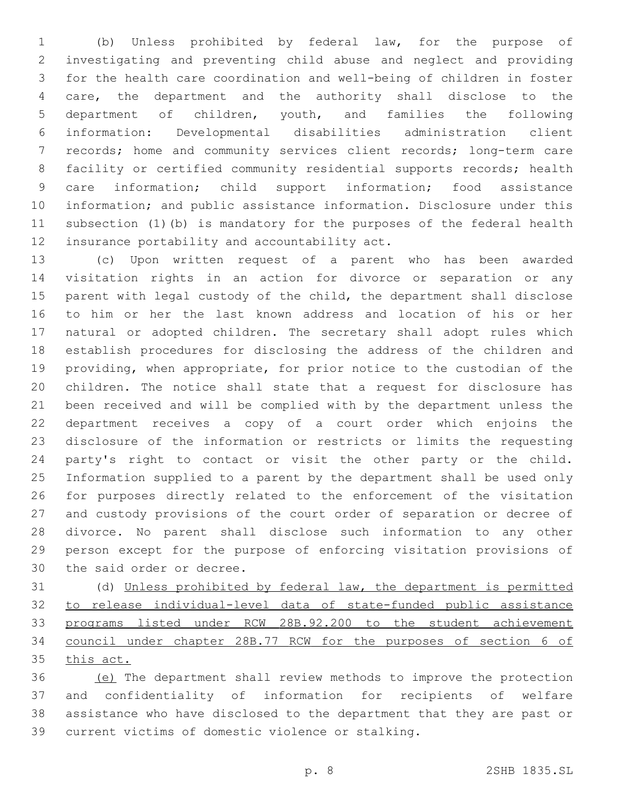(b) Unless prohibited by federal law, for the purpose of investigating and preventing child abuse and neglect and providing for the health care coordination and well-being of children in foster care, the department and the authority shall disclose to the department of children, youth, and families the following information: Developmental disabilities administration client records; home and community services client records; long-term care facility or certified community residential supports records; health care information; child support information; food assistance information; and public assistance information. Disclosure under this subsection (1)(b) is mandatory for the purposes of the federal health 12 insurance portability and accountability act.

 (c) Upon written request of a parent who has been awarded visitation rights in an action for divorce or separation or any parent with legal custody of the child, the department shall disclose to him or her the last known address and location of his or her natural or adopted children. The secretary shall adopt rules which establish procedures for disclosing the address of the children and providing, when appropriate, for prior notice to the custodian of the children. The notice shall state that a request for disclosure has been received and will be complied with by the department unless the department receives a copy of a court order which enjoins the disclosure of the information or restricts or limits the requesting party's right to contact or visit the other party or the child. Information supplied to a parent by the department shall be used only for purposes directly related to the enforcement of the visitation and custody provisions of the court order of separation or decree of divorce. No parent shall disclose such information to any other person except for the purpose of enforcing visitation provisions of 30 the said order or decree.

 (d) Unless prohibited by federal law, the department is permitted to release individual-level data of state-funded public assistance programs listed under RCW 28B.92.200 to the student achievement council under chapter 28B.77 RCW for the purposes of section 6 of this act.

 (e) The department shall review methods to improve the protection and confidentiality of information for recipients of welfare assistance who have disclosed to the department that they are past or 39 current victims of domestic violence or stalking.